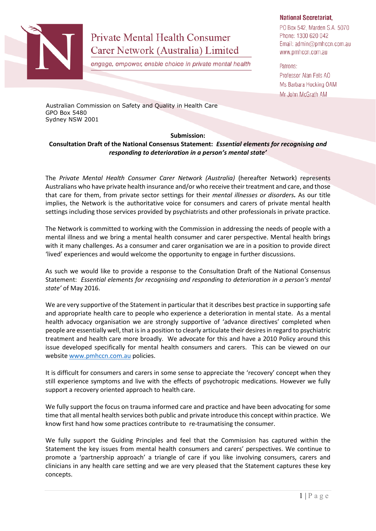

## **Private Mental Health Consumer** Carer Network (Australia) Limited

engage, empower, enable choice in private mental health

## **National Secretariat,**

PO Box 542, Marden S.A. 5070 Phone: 1300 620 042 Email: admin@pmhccn.com.au www.pmhccn.com.au

Patrons: Professor Alan Fels AO Ms Barbara Hocking OAM Mr John McGrath AM

Australian Commission on Safety and Quality in Health Care GPO Box 5480 Sydney NSW 2001

## **Submission:**

## **Consultation Draft of the National Consensus Statement:** *Essential elements for recognising and responding to deterioration in a person's mental state'*

The *Private Mental Health Consumer Carer Network (Australia)* (hereafter Network) represents Australians who have private health insurance and/or who receive their treatment and care, and those that care for them, from private sector settings for their *mental illnesses or disorders.* As our title implies, the Network is the authoritative voice for consumers and carers of private mental health settings including those services provided by psychiatrists and other professionals in private practice.

The Network is committed to working with the Commission in addressing the needs of people with a mental illness and we bring a mental health consumer and carer perspective. Mental health brings with it many challenges. As a consumer and carer organisation we are in a position to provide direct 'lived' experiences and would welcome the opportunity to engage in further discussions.

As such we would like to provide a response to the Consultation Draft of the National Consensus Statement: *Essential elements for recognising and responding to deterioration in a person's mental state'* of May 2016.

We are very supportive of the Statement in particular that it describes best practice in supporting safe and appropriate health care to people who experience a deterioration in mental state. As a mental health advocacy organisation we are strongly supportive of 'advance directives' completed when people are essentially well, that is in a position to clearly articulate their desires in regard to psychiatric treatment and health care more broadly. We advocate for this and have a 2010 Policy around this issue developed specifically for mental health consumers and carers. This can be viewed on our websit[e www.pmhccn.com.au](http://www.pmhccn.com.au/) policies.

It is difficult for consumers and carers in some sense to appreciate the 'recovery' concept when they still experience symptoms and live with the effects of psychotropic medications. However we fully support a recovery oriented approach to health care.

We fully support the focus on trauma informed care and practice and have been advocating for some time that all mental health services both public and private introduce this concept within practice. We know first hand how some practices contribute to re-traumatising the consumer.

We fully support the Guiding Principles and feel that the Commission has captured within the Statement the key issues from mental health consumers and carers' perspectives. We continue to promote a 'partnership approach' a triangle of care if you like involving consumers, carers and clinicians in any health care setting and we are very pleased that the Statement captures these key concepts.